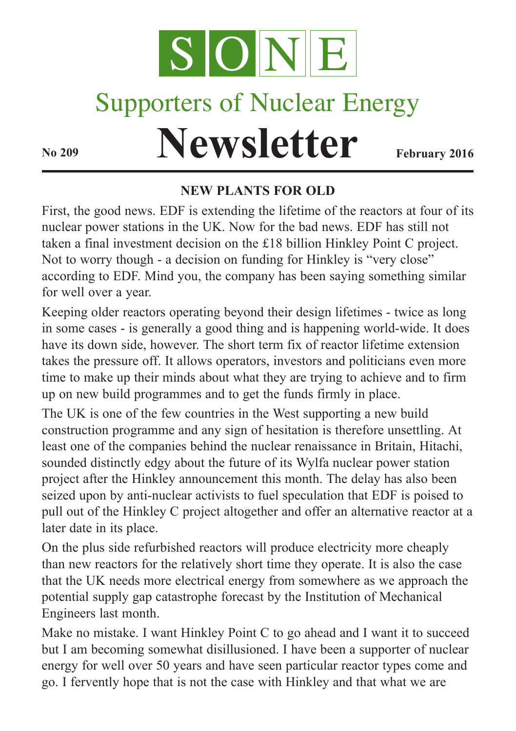

# Supporters of Nuclear Energy

# **Newsletter February** 2016

#### **NEW PLANTS FOR OLD**

First, the good news. EDF is extending the lifetime of the reactors at four of its nuclear power stations in the UK. Now for the bad news. EDF has still not taken a final investment decision on the £18 billion Hinkley Point C project. Not to worry though - a decision on funding for Hinkley is "very close" according to EDF. Mind you, the company has been saying something similar for well over a year.

Keeping older reactors operating beyond their design lifetimes - twice as long in some cases - is generally a good thing and is happening world-wide. It does have its down side, however. The short term fix of reactor lifetime extension takes the pressure off. It allows operators, investors and politicians even more time to make up their minds about what they are trying to achieve and to firm up on new build programmes and to get the funds firmly in place.

The UK is one of the few countries in the West supporting a new build construction programme and any sign of hesitation is therefore unsettling. At least one of the companies behind the nuclear renaissance in Britain, Hitachi, sounded distinctly edgy about the future of its Wylfa nuclear power station project after the Hinkley announcement this month. The delay has also been seized upon by anti-nuclear activists to fuel speculation that EDF is poised to pull out of the Hinkley C project altogether and offer an alternative reactor at a later date in its place.

On the plus side refurbished reactors will produce electricity more cheaply than new reactors for the relatively short time they operate. It is also the case that the UK needs more electrical energy from somewhere as we approach the potential supply gap catastrophe forecast by the Institution of Mechanical Engineers last month.

Make no mistake. I want Hinkley Point C to go ahead and I want it to succeed but I am becoming somewhat disillusioned. I have been a supporter of nuclear energy for well over 50 years and have seen particular reactor types come and go. I fervently hope that is not the case with Hinkley and that what we are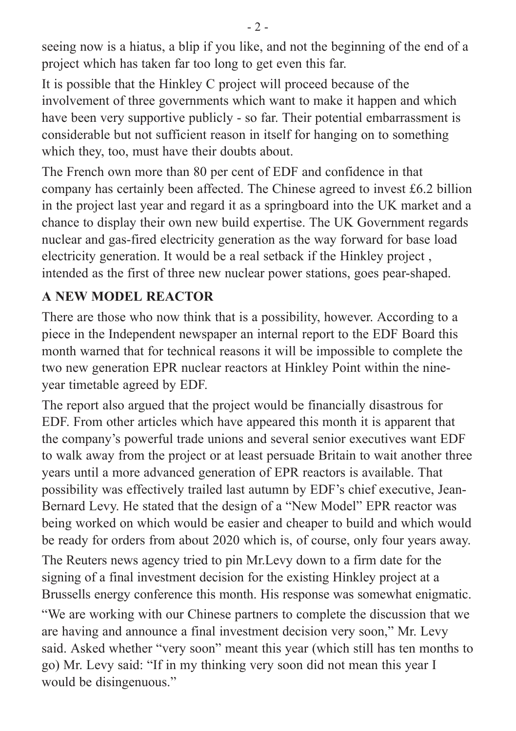seeing now is a hiatus, a blip if you like, and not the beginning of the end of a project which has taken far too long to get even this far.

It is possible that the Hinkley C project will proceed because of the involvement of three governments which want to make it happen and which have been very supportive publicly - so far. Their potential embarrassment is considerable but not sufficient reason in itself for hanging on to something which they, too, must have their doubts about.

The French own more than 80 per cent of EDF and confidence in that company has certainly been affected. The Chinese agreed to invest £6.2 billion in the project last year and regard it as a springboard into the UK market and a chance to display their own new build expertise. The UK Government regards nuclear and gas-fired electricity generation as the way forward for base load electricity generation. It would be a real setback if the Hinkley project , intended as the first of three new nuclear power stations, goes pear-shaped.

#### **A NEW MODEL REACTOR**

There are those who now think that is a possibility, however. According to a piece in the Independent newspaper an internal report to the EDF Board this month warned that for technical reasons it will be impossible to complete the two new generation EPR nuclear reactors at Hinkley Point within the nineyear timetable agreed by EDF.

The report also argued that the project would be financially disastrous for EDF. From other articles which have appeared this month it is apparent that the company's powerful trade unions and several senior executives want EDF to walk away from the project or at least persuade Britain to wait another three years until a more advanced generation of EPR reactors is available. That possibility was effectively trailed last autumn by EDF's chief executive, Jean-Bernard Levy. He stated that the design of a "New Model" EPR reactor was being worked on which would be easier and cheaper to build and which would be ready for orders from about 2020 which is, of course, only four years away.

The Reuters news agency tried to pin Mr.Levy down to a firm date for the signing of a final investment decision for the existing Hinkley project at a Brussells energy conference this month. His response was somewhat enigmatic.

"We are working with our Chinese partners to complete the discussion that we are having and announce a final investment decision very soon," Mr. Levy said. Asked whether "very soon" meant this year (which still has ten months to go) Mr. Levy said: "If in my thinking very soon did not mean this year I would be disingenuous."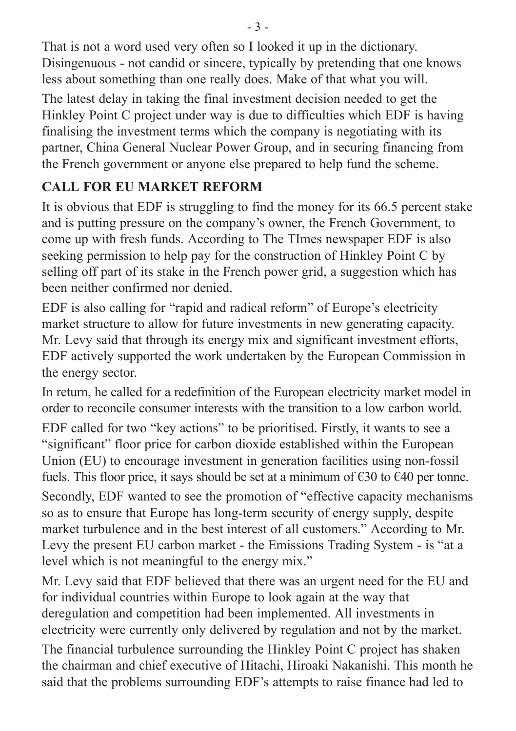That is not a word used very often so I looked it up in the dictionary. Disingenuous - not candid or sincere, typically by pretending that one knows less about something than one really does. Make of that what you will.

The latest delay in taking the final investment decision needed to get the Hinkley Point C project under way is due to difficulties which EDF is having finalising the investment terms which the company is negotiating with its partner, China General Nuclear Power Group, and in securing financing from the French government or anyone else prepared to help fund the scheme.

# **CALL FOR EU MARKET REFORM**

It is obvious that EDF is struggling to find the money for its 66.5 percent stake and is putting pressure on the company's owner, the French Government, to come up with fresh funds. According to The TImes newspaper EDF is also seeking permission to help pay for the construction of Hinkley Point C by selling off part of its stake in the French power grid, a suggestion which has been neither confirmed nor denied.

EDF is also calling for "rapid and radical reform" of Europe's electricity market structure to allow for future investments in new generating capacity. Mr. Levy said that through its energy mix and significant investment efforts, EDF actively supported the work undertaken by the European Commission in the energy sector.

In return, he called for a redefinition of the European electricity market model in order to reconcile consumer interests with the transition to a low carbon world.

EDF called for two "key actions" to be prioritised. Firstly, it wants to see a "significant" floor price for carbon dioxide established within the European Union (EU) to encourage investment in generation facilities using non-fossil fuels. This floor price, it says should be set at a minimum of  $\epsilon$ 30 to  $\epsilon$ 40 per tonne. Secondly, EDF wanted to see the promotion of "effective capacity mechanisms so as to ensure that Europe has long-term security of energy supply, despite market turbulence and in the best interest of all customers." According to Mr. Levy the present EU carbon market - the Emissions Trading System - is "at a level which is not meaningful to the energy mix."

Mr. Levy said that EDF believed that there was an urgent need for the EU and for individual countries within Europe to look again at the way that deregulation and competition had been implemented. All investments in electricity were currently only delivered by regulation and not by the market.

The financial turbulence surrounding the Hinkley Point C project has shaken the chairman and chief executive of Hitachi, Hiroaki Nakanishi. This month he said that the problems surrounding EDF's attempts to raise finance had led to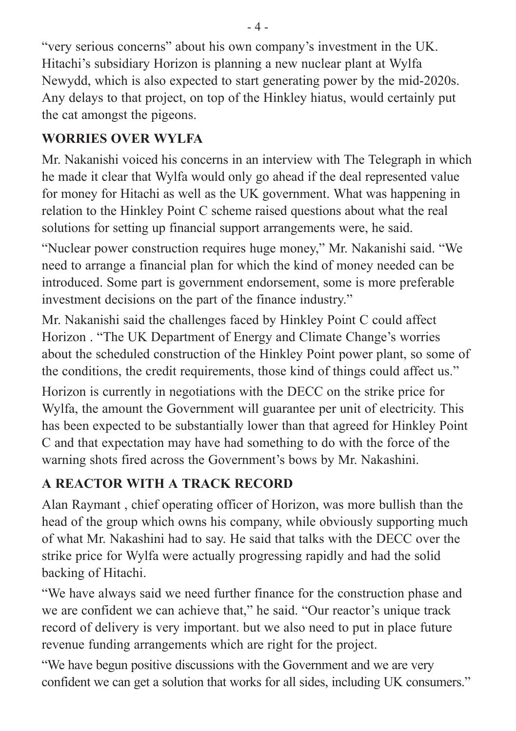"very serious concerns" about his own company's investment in the UK. Hitachi's subsidiary Horizon is planning a new nuclear plant at Wylfa Newydd, which is also expected to start generating power by the mid-2020s. Any delays to that project, on top of the Hinkley hiatus, would certainly put the cat amongst the pigeons.

# **WORRIES OVER WYLFA**

Mr. Nakanishi voiced his concerns in an interview with The Telegraph in which he made it clear that Wylfa would only go ahead if the deal represented value for money for Hitachi as well as the UK government. What was happening in relation to the Hinkley Point C scheme raised questions about what the real solutions for setting up financial support arrangements were, he said.

"Nuclear power construction requires huge money," Mr. Nakanishi said. "We need to arrange a financial plan for which the kind of money needed can be introduced. Some part is government endorsement, some is more preferable investment decisions on the part of the finance industry."

Mr. Nakanishi said the challenges faced by Hinkley Point C could affect Horizon . "The UK Department of Energy and Climate Change's worries about the scheduled construction of the Hinkley Point power plant, so some of the conditions, the credit requirements, those kind of things could affect us."

Horizon is currently in negotiations with the DECC on the strike price for Wylfa, the amount the Government will guarantee per unit of electricity. This has been expected to be substantially lower than that agreed for Hinkley Point C and that expectation may have had something to do with the force of the warning shots fired across the Government's bows by Mr. Nakashini.

# **A REACTOR WITH A TRACK RECORD**

Alan Raymant , chief operating officer of Horizon, was more bullish than the head of the group which owns his company, while obviously supporting much of what Mr. Nakashini had to say. He said that talks with the DECC over the strike price for Wylfa were actually progressing rapidly and had the solid backing of Hitachi.

"We have always said we need further finance for the construction phase and we are confident we can achieve that," he said. "Our reactor's unique track record of delivery is very important. but we also need to put in place future revenue funding arrangements which are right for the project.

"We have begun positive discussions with the Government and we are very confident we can get a solution that works for all sides, including UK consumers."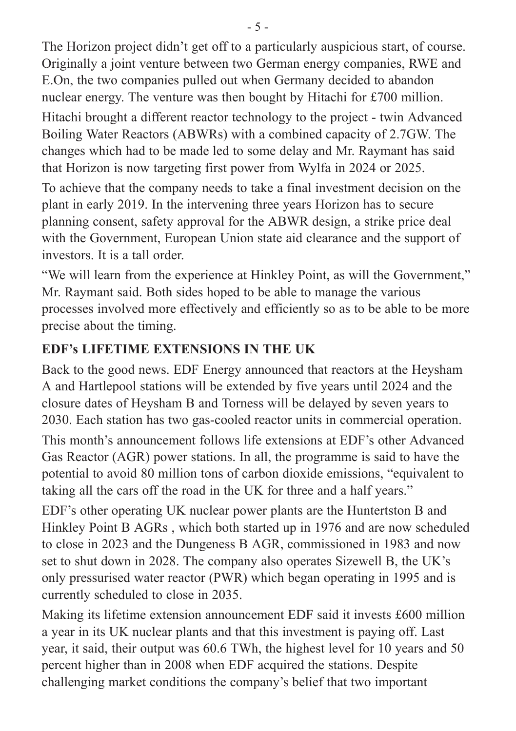The Horizon project didn't get off to a particularly auspicious start, of course. Originally a joint venture between two German energy companies, RWE and E.On, the two companies pulled out when Germany decided to abandon nuclear energy. The venture was then bought by Hitachi for £700 million.

Hitachi brought a different reactor technology to the project - twin Advanced Boiling Water Reactors (ABWRs) with a combined capacity of 2.7GW. The changes which had to be made led to some delay and Mr. Raymant has said that Horizon is now targeting first power from Wylfa in 2024 or 2025.

To achieve that the company needs to take a final investment decision on the plant in early 2019. In the intervening three years Horizon has to secure planning consent, safety approval for the ABWR design, a strike price deal with the Government, European Union state aid clearance and the support of investors. It is a tall order.

"We will learn from the experience at Hinkley Point, as will the Government," Mr. Raymant said. Both sides hoped to be able to manage the various processes involved more effectively and efficiently so as to be able to be more precise about the timing.

## **EDF's LIFETIME EXTENSIONS IN THE UK**

Back to the good news. EDF Energy announced that reactors at the Heysham A and Hartlepool stations will be extended by five years until 2024 and the closure dates of Heysham B and Torness will be delayed by seven years to 2030. Each station has two gas-cooled reactor units in commercial operation.

This month's announcement follows life extensions at EDF's other Advanced Gas Reactor (AGR) power stations. In all, the programme is said to have the potential to avoid 80 million tons of carbon dioxide emissions, "equivalent to taking all the cars off the road in the UK for three and a half years."

EDF's other operating UK nuclear power plants are the Huntertston B and Hinkley Point B AGRs , which both started up in 1976 and are now scheduled to close in 2023 and the Dungeness B AGR, commissioned in 1983 and now set to shut down in 2028. The company also operates Sizewell B, the UK's only pressurised water reactor (PWR) which began operating in 1995 and is currently scheduled to close in 2035.

Making its lifetime extension announcement EDF said it invests £600 million a year in its UK nuclear plants and that this investment is paying off. Last year, it said, their output was 60.6 TWh, the highest level for 10 years and 50 percent higher than in 2008 when EDF acquired the stations. Despite challenging market conditions the company's belief that two important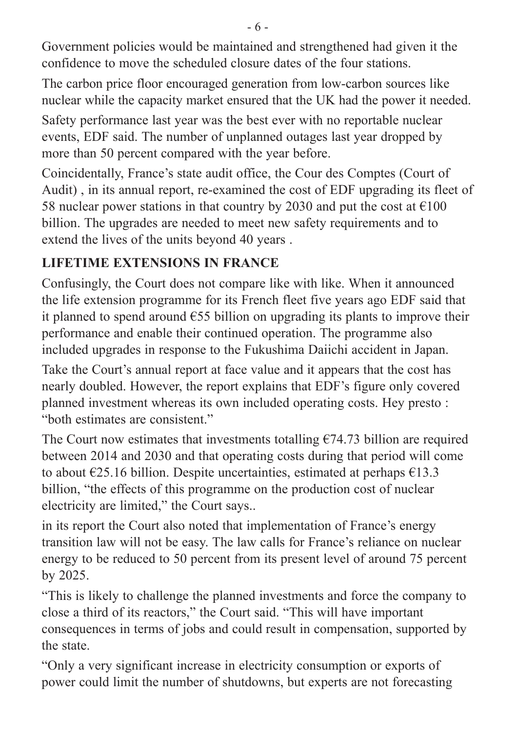Government policies would be maintained and strengthened had given it the confidence to move the scheduled closure dates of the four stations.

The carbon price floor encouraged generation from low-carbon sources like nuclear while the capacity market ensured that the UK had the power it needed.

Safety performance last year was the best ever with no reportable nuclear events, EDF said. The number of unplanned outages last year dropped by more than 50 percent compared with the year before.

Coincidentally, France's state audit office, the Cour des Comptes (Court of Audit) , in its annual report, re-examined the cost of EDF upgrading its fleet of 58 nuclear power stations in that country by 2030 and put the cost at  $\epsilon$ 100 billion. The upgrades are needed to meet new safety requirements and to extend the lives of the units beyond 40 years .

### **LIFETIME EXTENSIONS IN FRANCE**

Confusingly, the Court does not compare like with like. When it announced the life extension programme for its French fleet five years ago EDF said that it planned to spend around  $\epsilon$ 55 billion on upgrading its plants to improve their performance and enable their continued operation. The programme also included upgrades in response to the Fukushima Daiichi accident in Japan.

Take the Court's annual report at face value and it appears that the cost has nearly doubled. However, the report explains that EDF's figure only covered planned investment whereas its own included operating costs. Hey presto : "both estimates are consistent."

The Court now estimates that investments totalling  $\epsilon$ 74.73 billion are required between 2014 and 2030 and that operating costs during that period will come to about  $\epsilon$ 25.16 billion. Despite uncertainties, estimated at perhaps  $\epsilon$ 13.3 billion, "the effects of this programme on the production cost of nuclear electricity are limited," the Court says..

in its report the Court also noted that implementation of France's energy transition law will not be easy. The law calls for France's reliance on nuclear energy to be reduced to 50 percent from its present level of around 75 percent by 2025.

"This is likely to challenge the planned investments and force the company to close a third of its reactors," the Court said. "This will have important consequences in terms of jobs and could result in compensation, supported by the state.

"Only a very significant increase in electricity consumption or exports of power could limit the number of shutdowns, but experts are not forecasting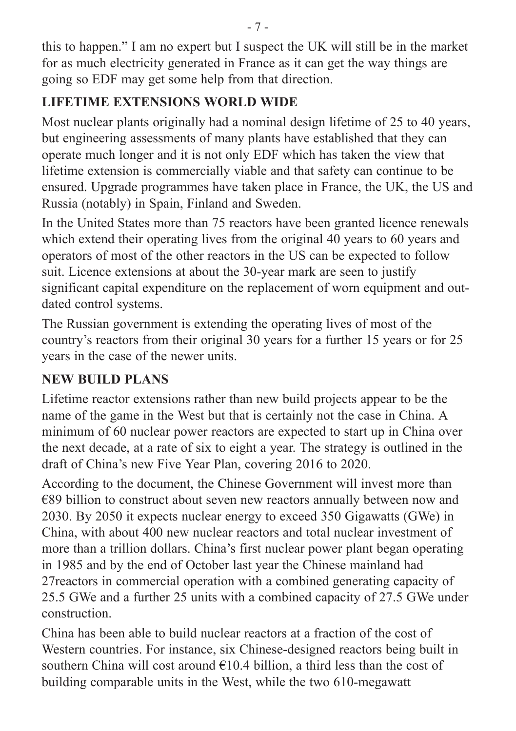this to happen." I am no expert but I suspect the UK will still be in the market for as much electricity generated in France as it can get the way things are going so EDF may get some help from that direction.

# **LIFETIME EXTENSIONS WORLD WIDE**

Most nuclear plants originally had a nominal design lifetime of 25 to 40 years, but engineering assessments of many plants have established that they can operate much longer and it is not only EDF which has taken the view that lifetime extension is commercially viable and that safety can continue to be ensured. Upgrade programmes have taken place in France, the UK, the US and Russia (notably) in Spain, Finland and Sweden.

In the United States more than 75 reactors have been granted licence renewals which extend their operating lives from the original 40 years to 60 years and operators of most of the other reactors in the US can be expected to follow suit. Licence extensions at about the 30-year mark are seen to justify significant capital expenditure on the replacement of worn equipment and outdated control systems.

The Russian government is extending the operating lives of most of the country's reactors from their original 30 years for a further 15 years or for 25 years in the case of the newer units.

# **NEW BUILD PLANS**

Lifetime reactor extensions rather than new build projects appear to be the name of the game in the West but that is certainly not the case in China. A minimum of 60 nuclear power reactors are expected to start up in China over the next decade, at a rate of six to eight a year. The strategy is outlined in the draft of China's new Five Year Plan, covering 2016 to 2020.

According to the document, the Chinese Government will invest more than €89 billion to construct about seven new reactors annually between now and 2030. By 2050 it expects nuclear energy to exceed 350 Gigawatts (GWe) in China, with about 400 new nuclear reactors and total nuclear investment of more than a trillion dollars. China's first nuclear power plant began operating in 1985 and by the end of October last year the Chinese mainland had 27reactors in commercial operation with a combined generating capacity of 25.5 GWe and a further 25 units with a combined capacity of 27.5 GWe under construction.

China has been able to build nuclear reactors at a fraction of the cost of Western countries. For instance, six Chinese-designed reactors being built in southern China will cost around  $E10.4$  billion, a third less than the cost of building comparable units in the West, while the two 610-megawatt